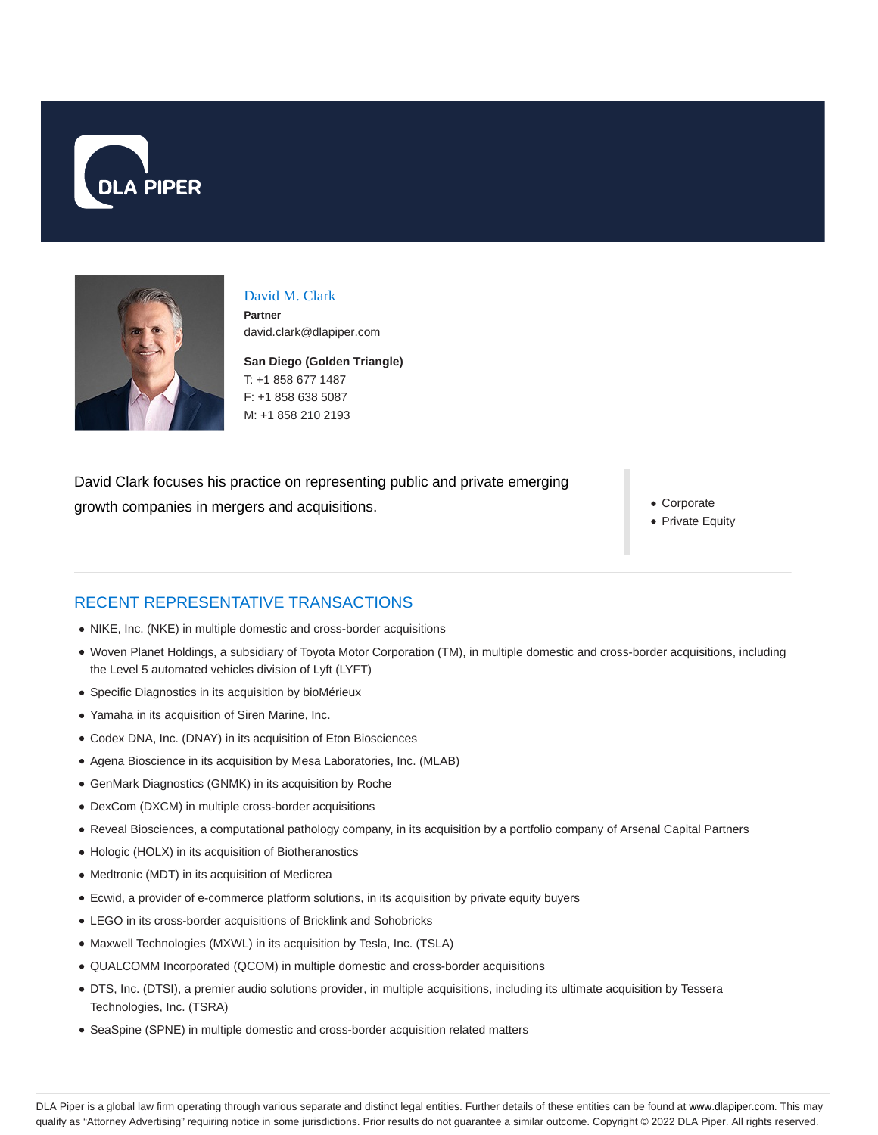



## David M. Clark

**Partner** david.clark@dlapiper.com

**San Diego (Golden Triangle)** T: +1 858 677 1487 F: +1 858 638 5087 M: +1 858 210 2193

David Clark focuses his practice on representing public and private emerging growth companies in mergers and acquisitions.

Corporate

• Private Equity

# RECENT REPRESENTATIVE TRANSACTIONS

- NIKE, Inc. (NKE) in multiple domestic and cross-border acquisitions
- Woven Planet Holdings, a subsidiary of Toyota Motor Corporation (TM), in multiple domestic and cross-border acquisitions, including the Level 5 automated vehicles division of Lyft (LYFT)
- Specific Diagnostics in its acquisition by bioMérieux
- Yamaha in its acquisition of Siren Marine, Inc.
- Codex DNA, Inc. (DNAY) in its acquisition of Eton Biosciences
- Agena Bioscience in its acquisition by Mesa Laboratories, Inc. (MLAB)
- GenMark Diagnostics (GNMK) in its acquisition by Roche
- DexCom (DXCM) in multiple cross-border acquisitions
- Reveal Biosciences, a computational pathology company, in its acquisition by a portfolio company of Arsenal Capital Partners
- Hologic (HOLX) in its acquisition of Biotheranostics
- Medtronic (MDT) in its acquisition of Medicrea
- Ecwid, a provider of e-commerce platform solutions, in its acquisition by private equity buyers
- LEGO in its cross-border acquisitions of Bricklink and Sohobricks
- Maxwell Technologies (MXWL) in its acquisition by Tesla, Inc. (TSLA)
- QUALCOMM Incorporated (QCOM) in multiple domestic and cross-border acquisitions
- DTS, Inc. (DTSI), a premier audio solutions provider, in multiple acquisitions, including its ultimate acquisition by Tessera Technologies, Inc. (TSRA)
- SeaSpine (SPNE) in multiple domestic and cross-border acquisition related matters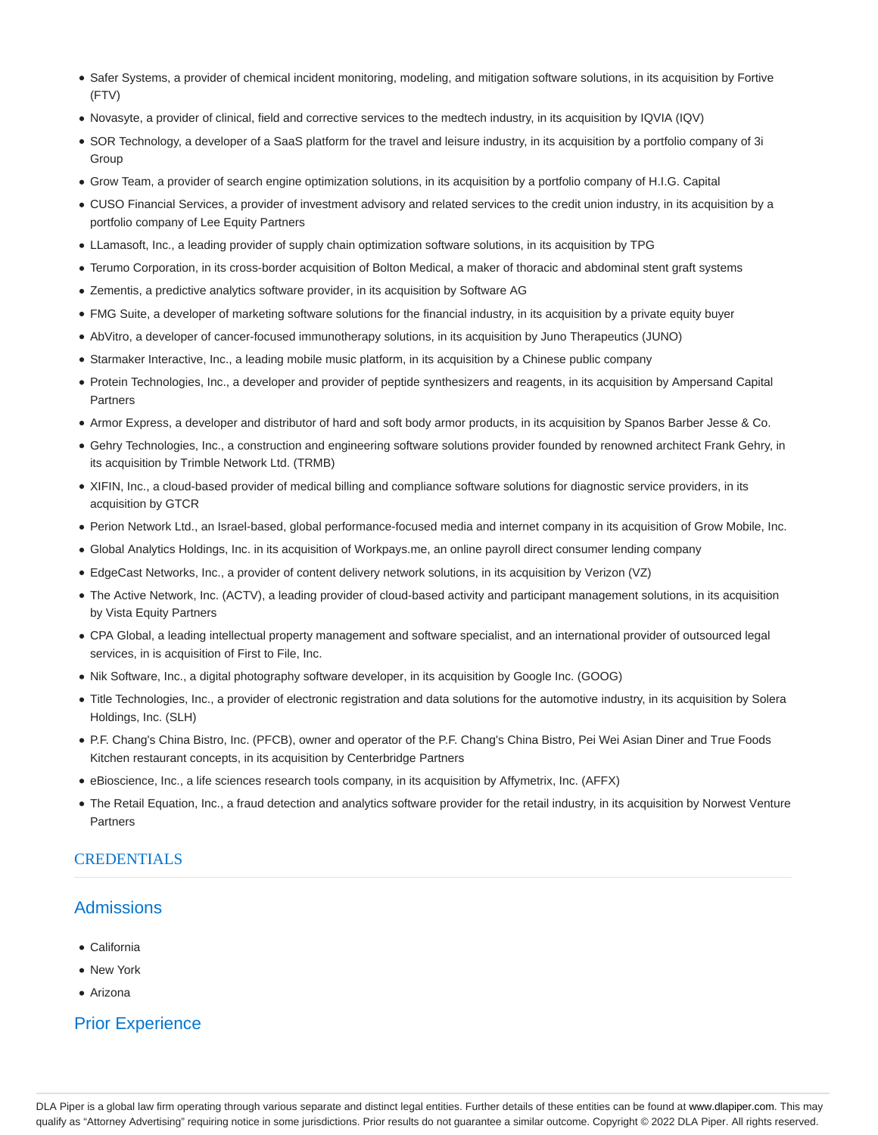- Safer Systems, a provider of chemical incident monitoring, modeling, and mitigation software solutions, in its acquisition by Fortive (FTV)
- Novasyte, a provider of clinical, field and corrective services to the medtech industry, in its acquisition by IQVIA (IQV)
- SOR Technology, a developer of a SaaS platform for the travel and leisure industry, in its acquisition by a portfolio company of 3i Group
- Grow Team, a provider of search engine optimization solutions, in its acquisition by a portfolio company of H.I.G. Capital
- CUSO Financial Services, a provider of investment advisory and related services to the credit union industry, in its acquisition by a portfolio company of Lee Equity Partners
- LLamasoft, Inc., a leading provider of supply chain optimization software solutions, in its acquisition by TPG
- Terumo Corporation, in its cross-border acquisition of Bolton Medical, a maker of thoracic and abdominal stent graft systems
- Zementis, a predictive analytics software provider, in its acquisition by Software AG
- FMG Suite, a developer of marketing software solutions for the financial industry, in its acquisition by a private equity buyer
- AbVitro, a developer of cancer-focused immunotherapy solutions, in its acquisition by Juno Therapeutics (JUNO)
- Starmaker Interactive, Inc., a leading mobile music platform, in its acquisition by a Chinese public company
- Protein Technologies, Inc., a developer and provider of peptide synthesizers and reagents, in its acquisition by Ampersand Capital **Partners**
- Armor Express, a developer and distributor of hard and soft body armor products, in its acquisition by Spanos Barber Jesse & Co.
- Gehry Technologies, Inc., a construction and engineering software solutions provider founded by renowned architect Frank Gehry, in its acquisition by Trimble Network Ltd. (TRMB)
- XIFIN, Inc., a cloud-based provider of medical billing and compliance software solutions for diagnostic service providers, in its acquisition by GTCR
- Perion Network Ltd., an Israel-based, global performance-focused media and internet company in its acquisition of Grow Mobile, Inc.
- Global Analytics Holdings, Inc. in its acquisition of Workpays.me, an online payroll direct consumer lending company
- EdgeCast Networks, Inc., a provider of content delivery network solutions, in its acquisition by Verizon (VZ)
- The Active Network, Inc. (ACTV), a leading provider of cloud-based activity and participant management solutions, in its acquisition by Vista Equity Partners
- CPA Global, a leading intellectual property management and software specialist, and an international provider of outsourced legal services, in is acquisition of First to File, Inc.
- Nik Software, Inc., a digital photography software developer, in its acquisition by Google Inc. (GOOG)
- Title Technologies, Inc., a provider of electronic registration and data solutions for the automotive industry, in its acquisition by Solera Holdings, Inc. (SLH)
- P.F. Chang's China Bistro, Inc. (PFCB), owner and operator of the P.F. Chang's China Bistro, Pei Wei Asian Diner and True Foods Kitchen restaurant concepts, in its acquisition by Centerbridge Partners
- eBioscience, Inc., a life sciences research tools company, in its acquisition by Affymetrix, Inc. (AFFX)
- The Retail Equation, Inc., a fraud detection and analytics software provider for the retail industry, in its acquisition by Norwest Venture **Partners**

#### **CREDENTIALS**

#### **Admissions**

- California
- New York
- Arizona

## Prior Experience